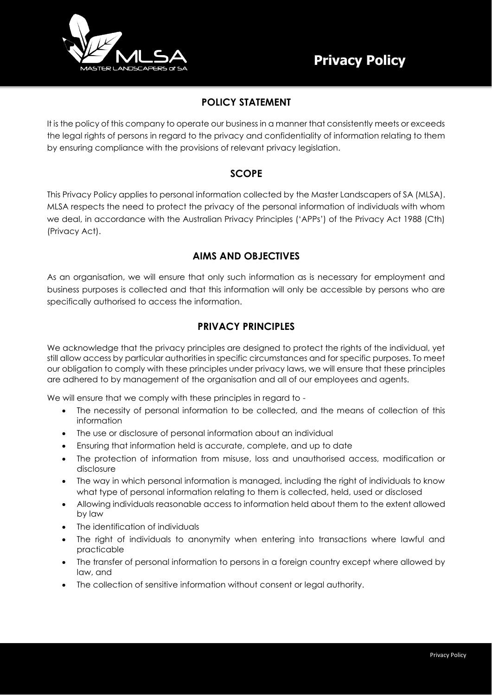

# **POLICY STATEMENT**

It is the policy of this company to operate our business in a manner that consistently meets or exceeds the legal rights of persons in regard to the privacy and confidentiality of information relating to them by ensuring compliance with the provisions of relevant privacy legislation.

# **SCOPE**

This Privacy Policy applies to personal information collected by the Master Landscapers of SA (MLSA). MLSA respects the need to protect the privacy of the personal information of individuals with whom we deal, in accordance with the Australian Privacy Principles ('APPs') of the Privacy Act 1988 (Cth) (Privacy Act).

# **AIMS AND OBJECTIVES**

As an organisation, we will ensure that only such information as is necessary for employment and business purposes is collected and that this information will only be accessible by persons who are specifically authorised to access the information.

# **PRIVACY PRINCIPLES**

We acknowledge that the privacy principles are designed to protect the rights of the individual, yet still allow access by particular authorities in specific circumstances and for specific purposes. To meet our obligation to comply with these principles under privacy laws, we will ensure that these principles are adhered to by management of the organisation and all of our employees and agents.

We will ensure that we comply with these principles in regard to -

- The necessity of personal information to be collected, and the means of collection of this information
- The use or disclosure of personal information about an individual
- Ensuring that information held is accurate, complete, and up to date
- The protection of information from misuse, loss and unauthorised access, modification or disclosure
- The way in which personal information is managed, including the right of individuals to know what type of personal information relating to them is collected, held, used or disclosed
- Allowing individuals reasonable access to information held about them to the extent allowed by law
- The identification of individuals
- The right of individuals to anonymity when entering into transactions where lawful and practicable
- The transfer of personal information to persons in a foreign country except where allowed by law, and
- The collection of sensitive information without consent or legal authority.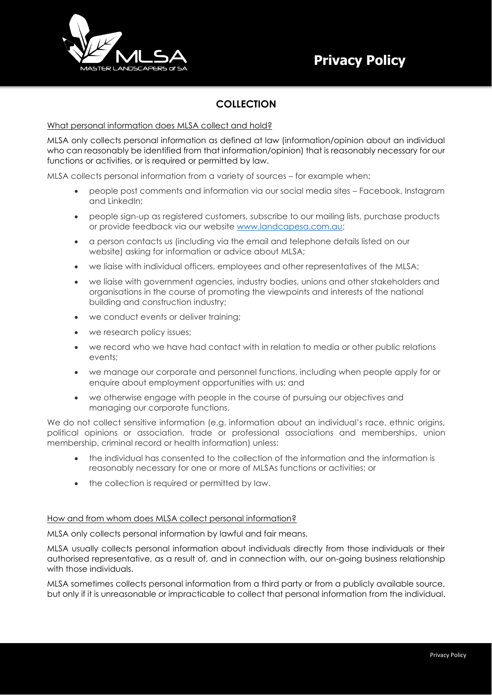

# **COLLECTION**

### What personal information does MLSA collect and hold?

MLSA only collects personal information as defined at law (information/opinion about an individual who can reasonably be identified from that information/opinion) that is reasonably necessary for our functions or activities, or is required or permitted by law.

MLSA collects personal information from a variety of sources – for example when:

- people post comments and information via our social media sites Facebook, Instagram and LinkedIn;
- people sign-up as registered customers, subscribe to our mailing lists, purchase products or provide feedback via our website [www.landcapesa.com.au;](http://www.landcapesa.com.au/)
- a person contacts us (including via the email and telephone details listed on our website) asking for information or advice about MLSA;
- we liaise with individual officers, employees and other representatives of the MLSA;
- we liaise with government agencies, industry bodies, unions and other stakeholders and organisations in the course of promoting the viewpoints and interests of the national building and construction industry;
- we conduct events or deliver training;
- we research policy issues:
- we record who we have had contact with in relation to media or other public relations events;
- we manage our corporate and personnel functions, including when people apply for or enquire about employment opportunities with us; and
- we otherwise engage with people in the course of pursuing our objectives and managing our corporate functions.

We do not collect sensitive information (e.g. information about an individual's race, ethnic origins, political opinions or association, trade or professional associations and memberships, union membership, criminal record or health information) unless:

- the individual has consented to the collection of the information and the information is reasonably necessary for one or more of MLSAs functions or activities; or
- the collection is required or permitted by law.

#### How and from whom does MLSA collect personal information?

MLSA only collects personal information by lawful and fair means.

MLSA usually collects personal information about individuals directly from those individuals or their authorised representative, as a result of, and in connection with, our on-going business relationship with those individuals.

MLSA sometimes collects personal information from a third party or from a publicly available source, but only if it is unreasonable or impracticable to collect that personal information from the individual.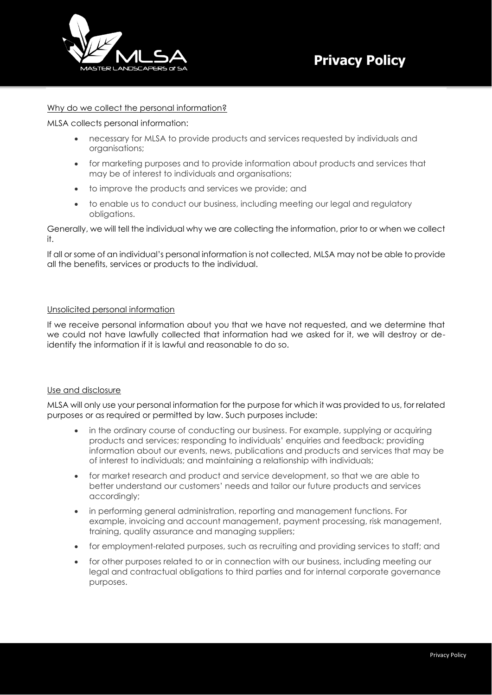

#### Why do we collect the personal information?

MLSA collects personal information:

- necessary for MLSA to provide products and services requested by individuals and organisations;
- for marketing purposes and to provide information about products and services that may be of interest to individuals and organisations;
- to improve the products and services we provide; and
- to enable us to conduct our business, including meeting our legal and regulatory obligations.

Generally, we will tell the individual why we are collecting the information, prior to or when we collect it.

If all or some of an individual's personal information is not collected, MLSA may not be able to provide all the benefits, services or products to the individual.

### Unsolicited personal information

If we receive personal information about you that we have not requested, and we determine that we could not have lawfully collected that information had we asked for it, we will destroy or deidentify the information if it is lawful and reasonable to do so.

#### Use and disclosure

MLSA will only use your personal information for the purpose for which it was provided to us, for related purposes or as required or permitted by law. Such purposes include:

- in the ordinary course of conducting our business. For example, supplying or acquiring products and services; responding to individuals' enquiries and feedback; providing information about our events, news, publications and products and services that may be of interest to individuals; and maintaining a relationship with individuals;
- for market research and product and service development, so that we are able to better understand our customers' needs and tailor our future products and services accordingly;
- in performing general administration, reporting and management functions. For example, invoicing and account management, payment processing, risk management, training, quality assurance and managing suppliers;
- for employment-related purposes, such as recruiting and providing services to staff; and
- for other purposes related to or in connection with our business, including meeting our legal and contractual obligations to third parties and for internal corporate governance purposes.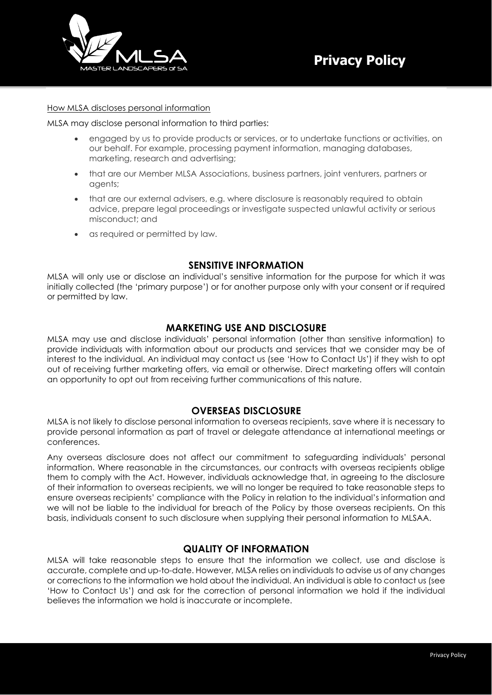

#### How MLSA discloses personal information

MLSA may disclose personal information to third parties:

- engaged by us to provide products or services, or to undertake functions or activities, on our behalf. For example, processing payment information, managing databases, marketing, research and advertising;
- that are our Member MLSA Associations, business partners, joint venturers, partners or agents;
- that are our external advisers, e.g. where disclosure is reasonably required to obtain advice, prepare legal proceedings or investigate suspected unlawful activity or serious misconduct; and
- as required or permitted by law.

### **SENSITIVE INFORMATION**

MLSA will only use or disclose an individual's sensitive information for the purpose for which it was initially collected (the 'primary purpose') or for another purpose only with your consent or if required or permitted by law.

### **MARKETING USE AND DISCLOSURE**

MLSA may use and disclose individuals' personal information (other than sensitive information) to provide individuals with information about our products and services that we consider may be of interest to the individual. An individual may contact us (see 'How to Contact Us') if they wish to opt out of receiving further marketing offers, via email or otherwise. Direct marketing offers will contain an opportunity to opt out from receiving further communications of this nature.

### **OVERSEAS DISCLOSURE**

MLSA is not likely to disclose personal information to overseas recipients, save where it is necessary to provide personal information as part of travel or delegate attendance at international meetings or conferences.

Any overseas disclosure does not affect our commitment to safeguarding individuals' personal information. Where reasonable in the circumstances, our contracts with overseas recipients oblige them to comply with the Act. However, individuals acknowledge that, in agreeing to the disclosure of their information to overseas recipients, we will no longer be required to take reasonable steps to ensure overseas recipients' compliance with the Policy in relation to the individual's information and we will not be liable to the individual for breach of the Policy by those overseas recipients. On this basis, individuals consent to such disclosure when supplying their personal information to MLSAA.

### **QUALITY OF INFORMATION**

MLSA will take reasonable steps to ensure that the information we collect, use and disclose is accurate, complete and up-to-date. However, MLSA relies on individuals to advise us of any changes or corrections to the information we hold about the individual. An individual is able to contact us (see 'How to Contact Us') and ask for the correction of personal information we hold if the individual believes the information we hold is inaccurate or incomplete.